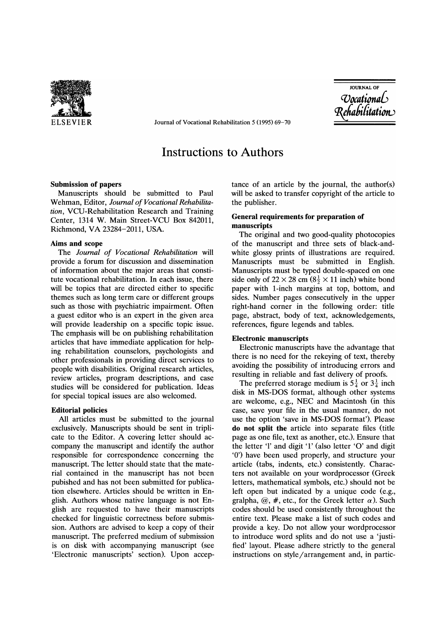

ELSEVIER Journal of Vocational Rehabilitation 5 (1995) 69-70

**JOURNAL OF** *Oocational* Rehabilitation

# Instructions to Authors

## Submission of papers

Manuscripts should be submitted to Paul Wehman, Editor, *Journal of Vocational Rehabilitation,* VCU-Rehabilitation Research and Training Center, 1314 W. Main Street-VCU Box 842011, Richmond, VA 23284-2011, USA.

## Aims and scope

The *Journal of Vocational Rehabilitation* will provide a forum for discussion and dissemination of information about the major areas that constitute vocational rehabilitation. In each issue, there will be topics that are directed either to specific themes such as long term care or different groups such as those with psychiatric impairment. Often a guest editor who is an expert in the given area will provide leadership on a specific topic issue. The emphasis will be on publishing rehabilitation articles that have immediate application for helping rehabilitation counselors, psychologists and other professionals in providing direct services to people with disabilities. Original research articles, review articles, program descriptions, and case studies will be considered for publication. Ideas for special topical issues are also welcomed.

#### Editorial policies

All articles must be submitted to the journal exclusively. Manuscripts should be sent in triplicate to the Editor. A covering letter should accompany the manuscript and identify the author responsible for correspondence concerning the manuscript. The letter should state that the material contained in the manuscript has not been pubished and has not been submitted for publication elsewhere. Articles should be written in English. Authors whose native language is not English are requested to have their manuscripts checked for linguistic correctness before submission. Authors are advised to keep a copy of their manuscript. The preferred medium of submission is on disk with accompanying manuscript (see 'Electronic manuscripts' section). Upon acceptance of an article by the journal, the author(s) will be asked to transfer copyright of the article to the publisher.

## General requirements for preparation of manuscripts

The original and two good-quality photocopies of the manuscript and three sets of black-andwhite glossy prints of illustrations are required. Manuscripts must be submitted in English. Manuscripts must be typed double-spaced on one side only of  $22 \times 28$  cm  $\left(8\frac{1}{2} \times 11\right)$  inch) white bond paper with I-inch margins at top, bottom, and sides. Number pages consecutively in the upper right-hand corner in the following order: title page, abstract, body of text, acknowledgements, references, figure legends and tables.

### Electronic manuscripts

Electronic manuscripts have the advantage that there is no need for the rekeying of text, thereby avoiding the possibility of introducing errors and resulting in reliable and fast delivery of proofs.

The preferred storage medium is  $5\frac{1}{4}$  or  $3\frac{1}{4}$  inch disk in MS-DOS format, although other systems are welcome, e.g., NEC and Macintosh (in this case, save your file in the usual manner, do not use the option 'save in MS-DOS format'). Please do not split the article into separate files (title page as one file, text as another, etc.). Ensure that the letter 'I' and digit '1' (also letter '0' and digit '0') have been used properly, and structure your article (tabs, indents, etc.) consistently. Characters not available on your wordprocessor (Greek letters, mathematical symbols, etc.) should not be left open but indicated by a unique code (e.g., gralpha,  $\omega$ , #, etc., for the Greek letter  $\alpha$ ). Such codes should be used consistently throughout the entire text. Please make a list of such codes and provide a key. Do not allow your wordprocessor to introduce word splits and do not use a 'justified' layout. Please adhere strictly to the general instructions on style/arrangement and, in partic